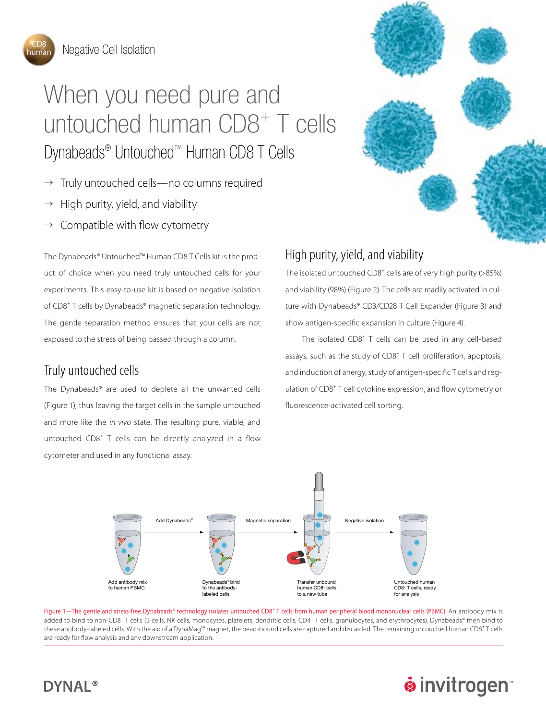

human

# When you need pure and untouched human CD8+ T cells Dynabeads® Untouched™ Human CD8 T Cells

- $\rightarrow$  Truly untouched cells—no columns required
- High purity, yield, and viability
- $\rightarrow$  Compatible with flow cytometry

The Dynabeads® Untouched™ Human CD8 T Cells kit is the product of choice when you need truly untouched cells for your experiments. This easy-to-use kit is based on negative isolation of CD8<sup>+</sup> T cells by Dynabeads® magnetic separation technology. The gentle separation method ensures that your cells are not exposed to the stress of being passed through a column.

#### Truly untouched cells

The Dynabeads® are used to deplete all the unwanted cells (Figure 1), thus leaving the target cells in the sample untouched and more like the *in vivo* state. The resulting pure, viable, and untouched CD8<sup>+</sup> T cells can be directly analyzed in a flow cytometer and used in any functional assay.



### High purity, yield, and viability

The isolated untouched CD8<sup>+</sup> cells are of very high purity (>85%) and viability (98%) (Figure 2). The cells are readily activated in culture with Dynabeads® CD3/CD28 T Cell Expander (Figure 3) and show antigen-specific expansion in culture (Figure 4).

The isolated CD8<sup>+</sup> T cells can be used in any cell-based assays, such as the study of CD8<sup>+</sup> T cell proliferation, apoptosis, and induction of anergy, study of antigen-specific T cells and regulation of CD8<sup>+</sup> T cell cytokine expression, and flow cytometry or fluorescence-activated cell sorting.



Figure 1—The gentle and stress-free Dynabeads® technology isolates untouched CD8<sup>+</sup> T cells from human peripheral blood mononuclear cells (PBMC). An antibody mix is added to bind to non-CD8<sup>+</sup> T cells (B cells, NK cells, monocytes, platelets, dendritic cells, CD4<sup>+</sup> T cells, granulocytes, and erythrocytes). Dynabeads® then bind to these antibody-labeled cells. With the aid of a DynaMag™ magnet, the bead-bound cells are captured and discarded. The remaining untouched human CD8<sup>+</sup> T cells are ready for flow analysis and any downstream application.



## **øinvitrogen**